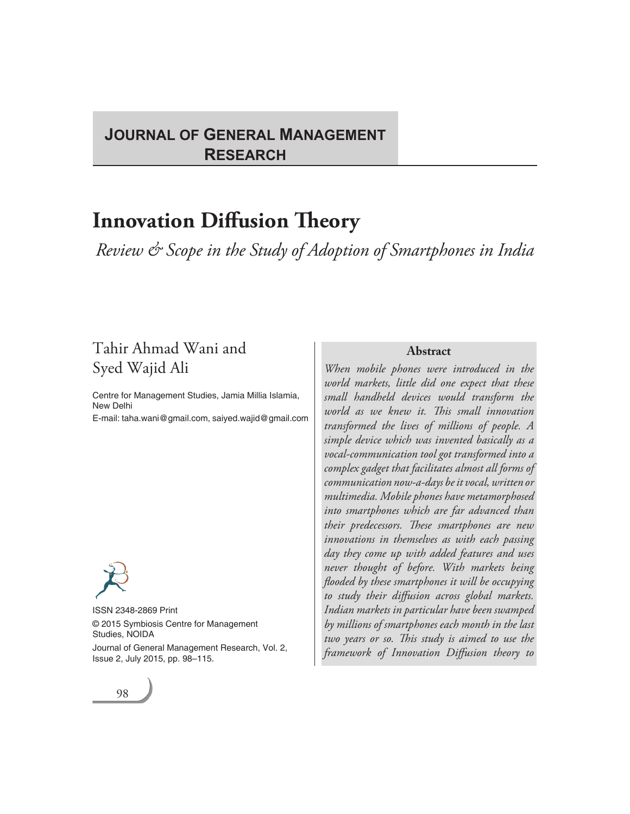# **JOURNAL OF GENERAL MANAGEMENT RESEARCH**

# **Innovation Diffusion Theory**

*Review & Scope in the Study of Adoption of Smartphones in India*

98 Journal of General Management Research

# Tahir Ahmad Wani and Syed Wajid Ali

Centre for Management Studies, Jamia Millia Islamia, New Delhi

E-mail: taha.wani@gmail.com, saiyed.wajid@gmail.com

ISSN 2348-2869 Print © 2015 Symbiosis Centre for Management Studies, NOIDA Journal of General Management Research, Vol. 2, Issue 2, July 2015, pp. 98–115.

#### **Abstract**

*When mobile phones were introduced in the world markets, little did one expect that these small handheld devices would transform the world as we knew it. This small innovation transformed the lives of millions of people. A simple device which was invented basically as a vocal-communication tool got transformed into a complex gadget that facilitates almost all forms of communication now-a-days be it vocal, written or multimedia. Mobile phones have metamorphosed into smartphones which are far advanced than their predecessors. These smartphones are new innovations in themselves as with each passing day they come up with added features and uses never thought of before. With markets being flooded by these smartphones it will be occupying to study their diffusion across global markets. Indian markets in particular have been swamped by millions of smartphones each month in the last two years or so. This study is aimed to use the framework of Innovation Diffusion theory to*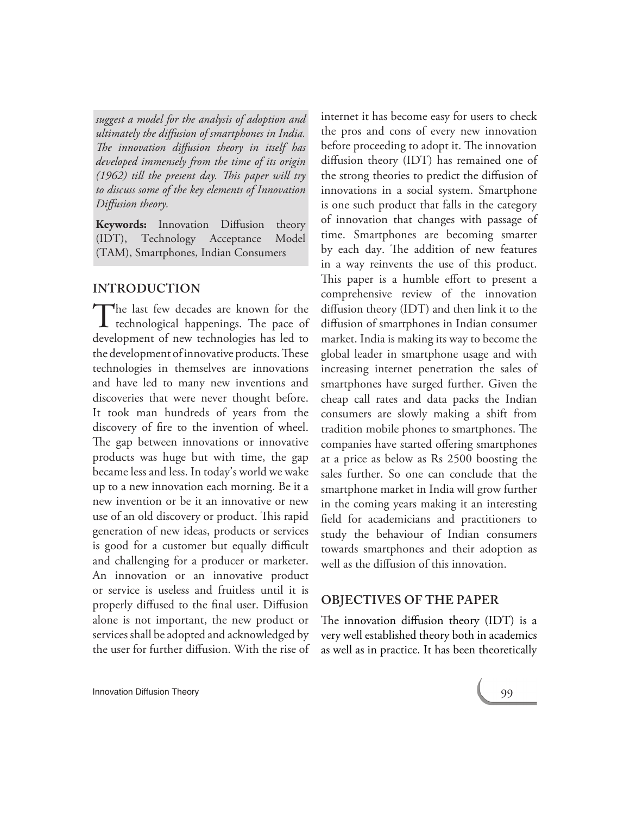*suggest a model for the analysis of adoption and ultimately the diffusion of smartphones in India. The innovation diffusion theory in itself has developed immensely from the time of its origin (1962) till the present day. This paper will try to discuss some of the key elements of Innovation Diffusion theory.*

**Keywords:** Innovation Diffusion theory (IDT), Technology Acceptance Model (TAM), Smartphones, Indian Consumers

# **INTRODUCTION**

The last few decades are known for the<br>technological happenings. The pace of  $\sf L$  technological happenings. The pace of development of new technologies has led to the development of innovative products. These technologies in themselves are innovations and have led to many new inventions and discoveries that were never thought before. It took man hundreds of years from the discovery of fire to the invention of wheel. The gap between innovations or innovative products was huge but with time, the gap became less and less. In today's world we wake up to a new innovation each morning. Be it a new invention or be it an innovative or new use of an old discovery or product. This rapid generation of new ideas, products or services is good for a customer but equally difficult and challenging for a producer or marketer. An innovation or an innovative product or service is useless and fruitless until it is properly diffused to the final user. Diffusion alone is not important, the new product or services shall be adopted and acknowledged by the user for further diffusion. With the rise of internet it has become easy for users to check the pros and cons of every new innovation before proceeding to adopt it. The innovation diffusion theory (IDT) has remained one of the strong theories to predict the diffusion of innovations in a social system. Smartphone is one such product that falls in the category of innovation that changes with passage of time. Smartphones are becoming smarter by each day. The addition of new features in a way reinvents the use of this product. This paper is a humble effort to present a comprehensive review of the innovation diffusion theory (IDT) and then link it to the diffusion of smartphones in Indian consumer market. India is making its way to become the global leader in smartphone usage and with increasing internet penetration the sales of smartphones have surged further. Given the cheap call rates and data packs the Indian consumers are slowly making a shift from tradition mobile phones to smartphones. The companies have started offering smartphones at a price as below as Rs 2500 boosting the sales further. So one can conclude that the smartphone market in India will grow further in the coming years making it an interesting field for academicians and practitioners to study the behaviour of Indian consumers towards smartphones and their adoption as well as the diffusion of this innovation.

# **OBJECTIVES OF THE PAPER**

The innovation diffusion theory (IDT) is a very well established theory both in academics as well as in practice. It has been theoretically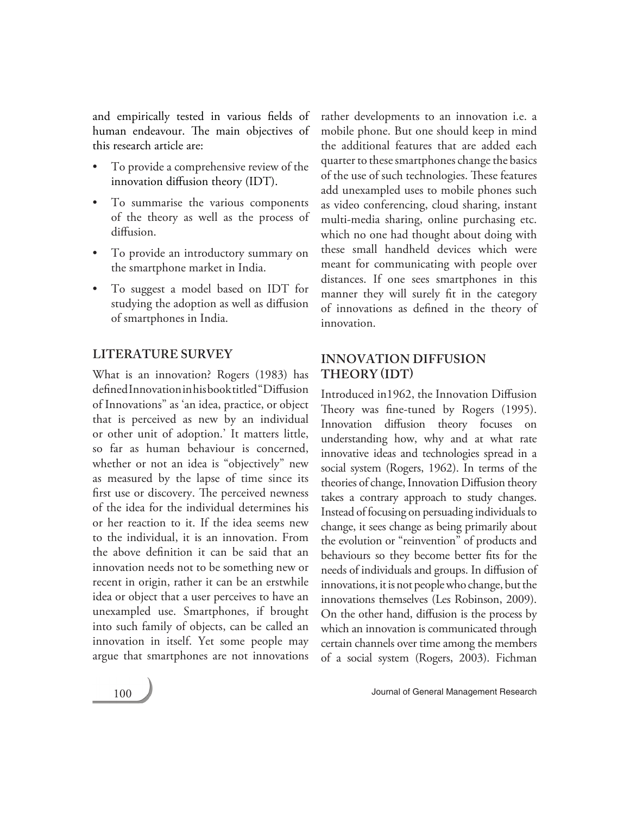and empirically tested in various fields of human endeavour. The main objectives of this research article are:

- To provide a comprehensive review of the innovation diffusion theory (IDT).
- To summarise the various components of the theory as well as the process of diffusion.
- To provide an introductory summary on the smartphone market in India.
- To suggest a model based on IDT for studying the adoption as well as diffusion of smartphones in India.

# **LITERATURE SURVEY**

What is an innovation? Rogers (1983) has defined Innovation in his book titled "Diffusion of Innovations" as 'an idea, practice, or object that is perceived as new by an individual or other unit of adoption.' It matters little, so far as human behaviour is concerned, whether or not an idea is "objectively" new as measured by the lapse of time since its first use or discovery. The perceived newness of the idea for the individual determines his or her reaction to it. If the idea seems new to the individual, it is an innovation. From the above definition it can be said that an innovation needs not to be something new or recent in origin, rather it can be an erstwhile idea or object that a user perceives to have an unexampled use. Smartphones, if brought into such family of objects, can be called an innovation in itself. Yet some people may argue that smartphones are not innovations

rather developments to an innovation i.e. a mobile phone. But one should keep in mind the additional features that are added each quarter to these smartphones change the basics of the use of such technologies. These features add unexampled uses to mobile phones such as video conferencing, cloud sharing, instant multi-media sharing, online purchasing etc. which no one had thought about doing with these small handheld devices which were meant for communicating with people over distances. If one sees smartphones in this manner they will surely fit in the category of innovations as defined in the theory of innovation.

# **INNOVATION DIFFUSION THEORY (IDT)**

Introduced in1962, the Innovation Diffusion Theory was fine-tuned by Rogers (1995). Innovation diffusion theory focuses on understanding how, why and at what rate innovative ideas and technologies spread in a social system (Rogers, 1962). In terms of the theories of change, Innovation Diffusion theory takes a contrary approach to study changes. Instead of focusing on persuading individuals to change, it sees change as being primarily about the evolution or "reinvention" of products and behaviours so they become better fits for the needs of individuals and groups. In diffusion of innovations, it is not people who change, but the innovations themselves (Les Robinson, 2009). On the other hand, diffusion is the process by which an innovation is communicated through certain channels over time among the members of a social system (Rogers, 2003). Fichman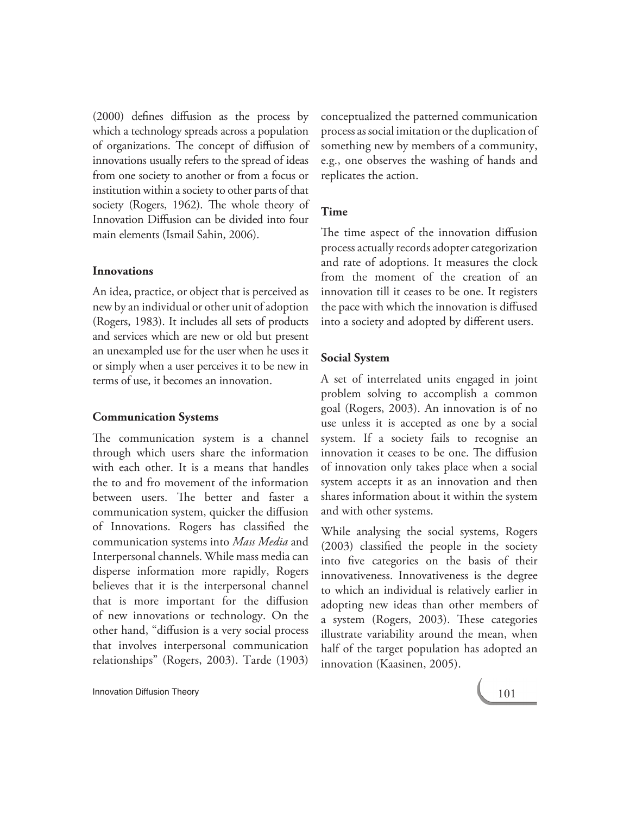(2000) defines diffusion as the process by which a technology spreads across a population of organizations. The concept of diffusion of innovations usually refers to the spread of ideas from one society to another or from a focus or institution within a society to other parts of that society (Rogers, 1962). The whole theory of Innovation Diffusion can be divided into four main elements (Ismail Sahin, 2006).

# **Innovations**

An idea, practice, or object that is perceived as new by an individual or other unit of adoption (Rogers, 1983). It includes all sets of products and services which are new or old but present an unexampled use for the user when he uses it or simply when a user perceives it to be new in terms of use, it becomes an innovation.

# **Communication Systems**

The communication system is a channel through which users share the information with each other. It is a means that handles the to and fro movement of the information between users. The better and faster a communication system, quicker the diffusion of Innovations. Rogers has classified the communication systems into *Mass Media* and Interpersonal channels. While mass media can disperse information more rapidly, Rogers believes that it is the interpersonal channel that is more important for the diffusion of new innovations or technology. On the other hand, "diffusion is a very social process that involves interpersonal communication relationships" (Rogers, 2003). Tarde (1903) conceptualized the patterned communication process as social imitation or the duplication of something new by members of a community, e.g., one observes the washing of hands and replicates the action.

# **Time**

The time aspect of the innovation diffusion process actually records adopter categorization and rate of adoptions. It measures the clock from the moment of the creation of an innovation till it ceases to be one. It registers the pace with which the innovation is diffused into a society and adopted by different users.

# **Social System**

A set of interrelated units engaged in joint problem solving to accomplish a common goal (Rogers, 2003). An innovation is of no use unless it is accepted as one by a social system. If a society fails to recognise an innovation it ceases to be one. The diffusion of innovation only takes place when a social system accepts it as an innovation and then shares information about it within the system and with other systems.

While analysing the social systems, Rogers (2003) classified the people in the society into five categories on the basis of their innovativeness. Innovativeness is the degree to which an individual is relatively earlier in adopting new ideas than other members of a system (Rogers, 2003). These categories illustrate variability around the mean, when half of the target population has adopted an innovation (Kaasinen, 2005).

**Innovation Diffusion Theory 101 Innovation Diffusion Theory**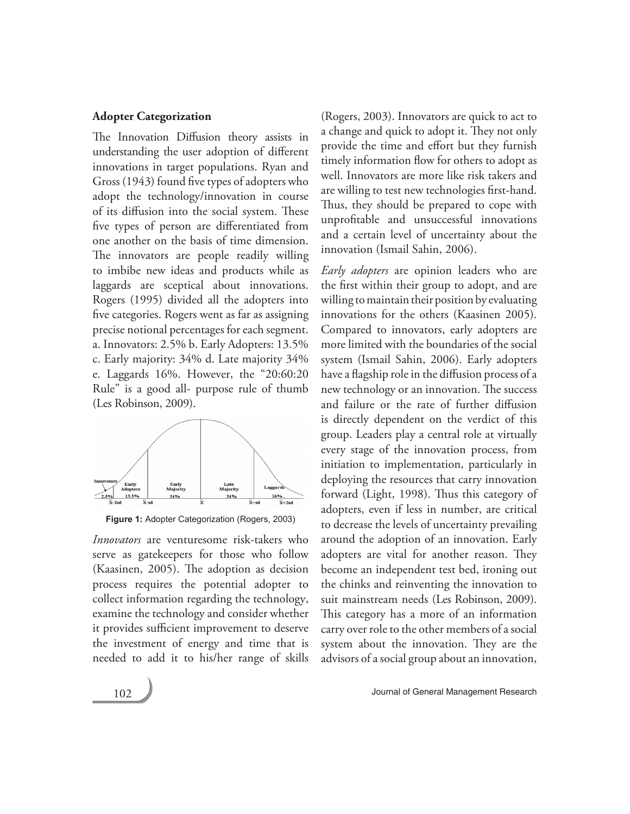#### **Adopter Categorization**

The Innovation Diffusion theory assists in understanding the user adoption of different innovations in target populations. Ryan and Gross (1943) found five types of adopters who adopt the technology/innovation in course of its diffusion into the social system. These five types of person are differentiated from one another on the basis of time dimension. The innovators are people readily willing to imbibe new ideas and products while as laggards are sceptical about innovations. Rogers (1995) divided all the adopters into five categories. Rogers went as far as assigning precise notional percentages for each segment. a. Innovators: 2.5% b. Early Adopters: 13.5% c. Early majority: 34% d. Late majority 34% e. Laggards 16%. However, the "20:60:20 Rule" is a good all- purpose rule of thumb (Les Robinson, 2009).



**Figure 1:** Adopter Categorization (Rogers, 2003)

*Innovators* are venturesome risk-takers who serve as gatekeepers for those who follow (Kaasinen, 2005). The adoption as decision process requires the potential adopter to collect information regarding the technology, examine the technology and consider whether it provides sufficient improvement to deserve the investment of energy and time that is needed to add it to his/her range of skills (Rogers, 2003). Innovators are quick to act to a change and quick to adopt it. They not only provide the time and effort but they furnish timely information flow for others to adopt as well. Innovators are more like risk takers and are willing to test new technologies first-hand. Thus, they should be prepared to cope with unprofitable and unsuccessful innovations and a certain level of uncertainty about the innovation (Ismail Sahin, 2006).

*Early adopters* are opinion leaders who are the first within their group to adopt, and are willing to maintain their position by evaluating innovations for the others (Kaasinen 2005). Compared to innovators, early adopters are more limited with the boundaries of the social system (Ismail Sahin, 2006). Early adopters have a flagship role in the diffusion process of a new technology or an innovation. The success and failure or the rate of further diffusion is directly dependent on the verdict of this group. Leaders play a central role at virtually every stage of the innovation process, from initiation to implementation, particularly in deploying the resources that carry innovation forward (Light, 1998). Thus this category of adopters, even if less in number, are critical to decrease the levels of uncertainty prevailing around the adoption of an innovation. Early adopters are vital for another reason. They become an independent test bed, ironing out the chinks and reinventing the innovation to suit mainstream needs (Les Robinson, 2009). This category has a more of an information carry over role to the other members of a social system about the innovation. They are the advisors of a social group about an innovation,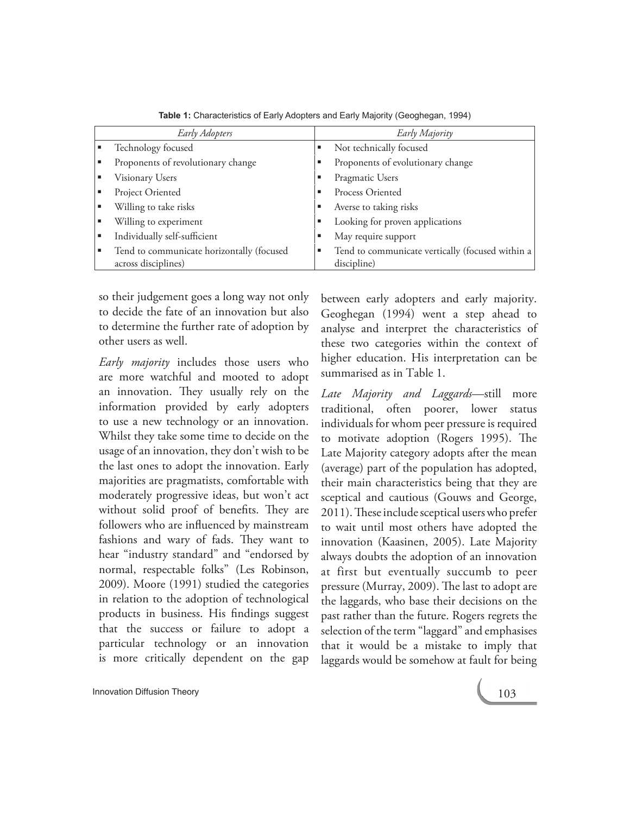| Early Adopters                            |   | Early Majority                                   |
|-------------------------------------------|---|--------------------------------------------------|
| Technology focused                        |   | Not technically focused                          |
| Proponents of revolutionary change        |   | Proponents of evolutionary change                |
| Visionary Users                           |   | Pragmatic Users                                  |
| Project Oriented                          |   | Process Oriented                                 |
| Willing to take risks                     |   | Averse to taking risks                           |
| Willing to experiment                     |   | Looking for proven applications                  |
| Individually self-sufficient              | ш | May require support                              |
| Tend to communicate horizontally (focused | п | Tend to communicate vertically (focused within a |
| across disciplines)                       |   | discipline)                                      |

**Table 1:** Characteristics of Early Adopters and Early Majority (Geoghegan, 1994)

so their judgement goes a long way not only to decide the fate of an innovation but also to determine the further rate of adoption by other users as well.

*Early majority* includes those users who are more watchful and mooted to adopt an innovation. They usually rely on the information provided by early adopters to use a new technology or an innovation. Whilst they take some time to decide on the usage of an innovation, they don't wish to be the last ones to adopt the innovation. Early majorities are pragmatists, comfortable with moderately progressive ideas, but won't act without solid proof of benefits. They are followers who are influenced by mainstream fashions and wary of fads. They want to hear "industry standard" and "endorsed by normal, respectable folks" (Les Robinson, 2009). Moore (1991) studied the categories in relation to the adoption of technological products in business. His findings suggest that the success or failure to adopt a particular technology or an innovation is more critically dependent on the gap

between early adopters and early majority. Geoghegan (1994) went a step ahead to analyse and interpret the characteristics of these two categories within the context of higher education. His interpretation can be summarised as in Table 1.

*Late Majority and Laggards*—still more traditional, often poorer, lower status individuals for whom peer pressure is required to motivate adoption (Rogers 1995). The Late Majority category adopts after the mean (average) part of the population has adopted, their main characteristics being that they are sceptical and cautious (Gouws and George, 2011). These include sceptical users who prefer to wait until most others have adopted the innovation (Kaasinen, 2005). Late Majority always doubts the adoption of an innovation at first but eventually succumb to peer pressure (Murray, 2009). The last to adopt are the laggards, who base their decisions on the past rather than the future. Rogers regrets the selection of the term "laggard" and emphasises that it would be a mistake to imply that laggards would be somehow at fault for being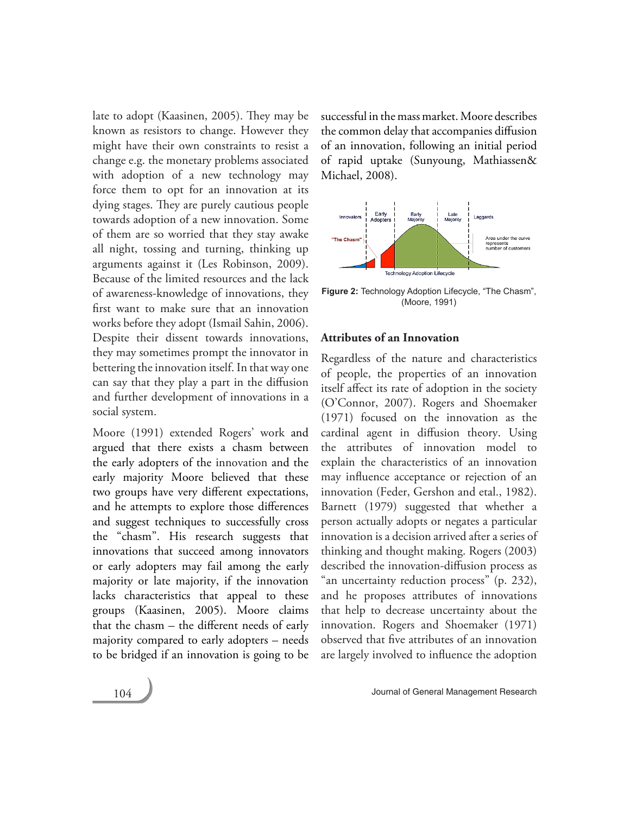late to adopt (Kaasinen, 2005). They may be known as resistors to change. However they might have their own constraints to resist a change e.g. the monetary problems associated with adoption of a new technology may force them to opt for an innovation at its dying stages. They are purely cautious people towards adoption of a new innovation. Some of them are so worried that they stay awake all night, tossing and turning, thinking up arguments against it (Les Robinson, 2009). Because of the limited resources and the lack of awareness-knowledge of innovations, they first want to make sure that an innovation works before they adopt (Ismail Sahin, 2006). Despite their dissent towards innovations, they may sometimes prompt the innovator in bettering the innovation itself. In that way one can say that they play a part in the diffusion and further development of innovations in a social system.

Moore (1991) extended Rogers' work and argued that there exists a chasm between the early adopters of the innovation and the early majority Moore believed that these two groups have very different expectations, and he attempts to explore those differences and suggest techniques to successfully cross the "chasm". His research suggests that innovations that succeed among innovators or early adopters may fail among the early majority or late majority, if the innovation lacks characteristics that appeal to these groups (Kaasinen, 2005). Moore claims that the chasm – the different needs of early majority compared to early adopters – needs to be bridged if an innovation is going to be

successful in the mass market. Moore describes the common delay that accompanies diffusion of an innovation, following an initial period of rapid uptake (Sunyoung, Mathiassen& Michael, 2008).



**Figure 2:** Technology Adoption Lifecycle, "The Chasm", (Moore, 1991)

#### **Attributes of an Innovation**

Regardless of the nature and characteristics of people, the properties of an innovation itself affect its rate of adoption in the society (O'Connor, 2007). Rogers and Shoemaker (1971) focused on the innovation as the cardinal agent in diffusion theory. Using the attributes of innovation model to explain the characteristics of an innovation may influence acceptance or rejection of an innovation (Feder, Gershon and etal., 1982). Barnett (1979) suggested that whether a person actually adopts or negates a particular innovation is a decision arrived after a series of thinking and thought making. Rogers (2003) described the innovation-diffusion process as "an uncertainty reduction process" (p. 232), and he proposes attributes of innovations that help to decrease uncertainty about the innovation. Rogers and Shoemaker (1971) observed that five attributes of an innovation are largely involved to influence the adoption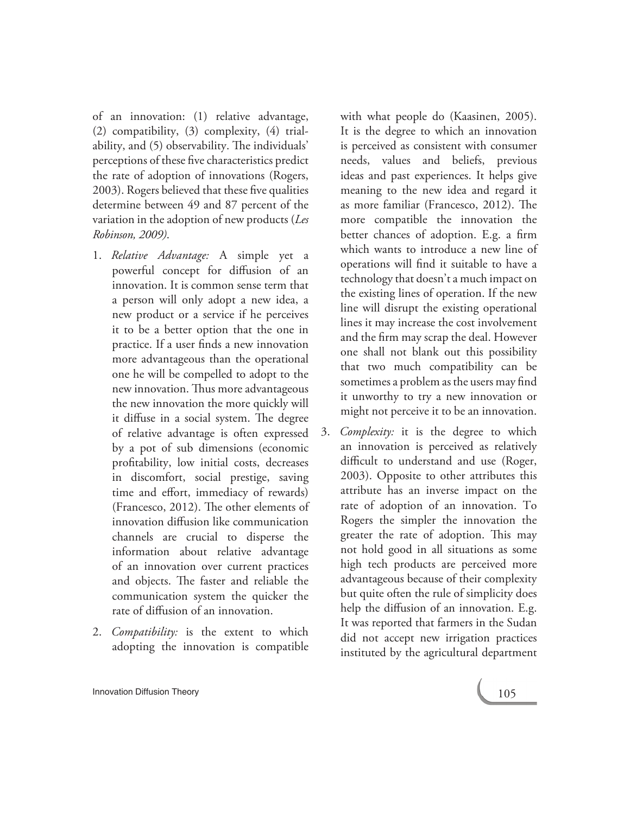of an innovation: (1) relative advantage, (2) compatibility, (3) complexity, (4) trialability, and (5) observability. The individuals' perceptions of these five characteristics predict the rate of adoption of innovations (Rogers, 2003). Rogers believed that these five qualities determine between 49 and 87 percent of the variation in the adoption of new products (*Les Robinson, 2009)*.

- 1. *Relative Advantage:* A simple yet a powerful concept for diffusion of an innovation. It is common sense term that a person will only adopt a new idea, a new product or a service if he perceives it to be a better option that the one in practice. If a user finds a new innovation more advantageous than the operational one he will be compelled to adopt to the new innovation. Thus more advantageous the new innovation the more quickly will it diffuse in a social system. The degree of relative advantage is often expressed by a pot of sub dimensions (economic profitability, low initial costs, decreases in discomfort, social prestige, saving time and effort, immediacy of rewards) (Francesco, 2012). The other elements of innovation diffusion like communication channels are crucial to disperse the information about relative advantage of an innovation over current practices and objects. The faster and reliable the communication system the quicker the rate of diffusion of an innovation.
- 2. *Compatibility:* is the extent to which adopting the innovation is compatible

with what people do (Kaasinen, 2005). It is the degree to which an innovation is perceived as consistent with consumer needs, values and beliefs, previous ideas and past experiences. It helps give meaning to the new idea and regard it as more familiar (Francesco, 2012). The more compatible the innovation the better chances of adoption. E.g. a firm which wants to introduce a new line of operations will find it suitable to have a technology that doesn't a much impact on the existing lines of operation. If the new line will disrupt the existing operational lines it may increase the cost involvement and the firm may scrap the deal. However one shall not blank out this possibility that two much compatibility can be sometimes a problem as the users may find it unworthy to try a new innovation or might not perceive it to be an innovation.

3. *Complexity:* it is the degree to which an innovation is perceived as relatively difficult to understand and use (Roger, 2003). Opposite to other attributes this attribute has an inverse impact on the rate of adoption of an innovation. To Rogers the simpler the innovation the greater the rate of adoption. This may not hold good in all situations as some high tech products are perceived more advantageous because of their complexity but quite often the rule of simplicity does help the diffusion of an innovation. E.g. It was reported that farmers in the Sudan did not accept new irrigation practices instituted by the agricultural department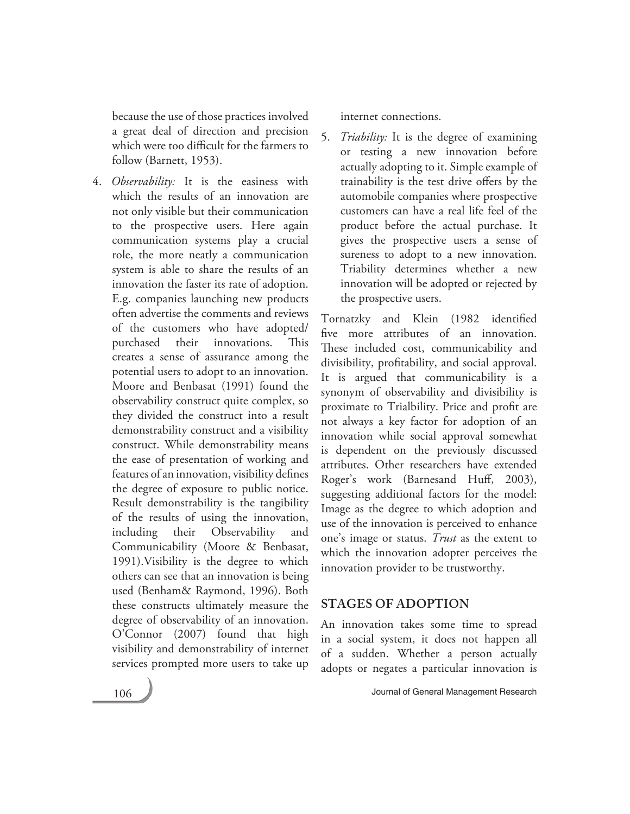because the use of those practices involved a great deal of direction and precision which were too difficult for the farmers to follow (Barnett, 1953).

4. *Observability:* It is the easiness with which the results of an innovation are not only visible but their communication to the prospective users. Here again communication systems play a crucial role, the more neatly a communication system is able to share the results of an innovation the faster its rate of adoption. E.g. companies launching new products often advertise the comments and reviews of the customers who have adopted/ purchased their innovations. This creates a sense of assurance among the potential users to adopt to an innovation. Moore and Benbasat (1991) found the observability construct quite complex, so they divided the construct into a result demonstrability construct and a visibility construct. While demonstrability means the ease of presentation of working and features of an innovation, visibility defines the degree of exposure to public notice. Result demonstrability is the tangibility of the results of using the innovation, including their Observability and Communicability (Moore & Benbasat, 1991).Visibility is the degree to which others can see that an innovation is being used (Benham& Raymond, 1996). Both these constructs ultimately measure the degree of observability of an innovation. O'Connor (2007) found that high visibility and demonstrability of internet services prompted more users to take up

internet connections.

5. *Triability:* It is the degree of examining or testing a new innovation before actually adopting to it. Simple example of trainability is the test drive offers by the automobile companies where prospective customers can have a real life feel of the product before the actual purchase. It gives the prospective users a sense of sureness to adopt to a new innovation. Triability determines whether a new innovation will be adopted or rejected by the prospective users.

Tornatzky and Klein (1982 identified five more attributes of an innovation. These included cost, communicability and divisibility, profitability, and social approval. It is argued that communicability is a synonym of observability and divisibility is proximate to Trialbility. Price and profit are not always a key factor for adoption of an innovation while social approval somewhat is dependent on the previously discussed attributes. Other researchers have extended Roger's work (Barnesand Huff, 2003), suggesting additional factors for the model: Image as the degree to which adoption and use of the innovation is perceived to enhance one's image or status. *Trust* as the extent to which the innovation adopter perceives the innovation provider to be trustworthy.

# **STAGES OF ADOPTION**

An innovation takes some time to spread in a social system, it does not happen all of a sudden. Whether a person actually adopts or negates a particular innovation is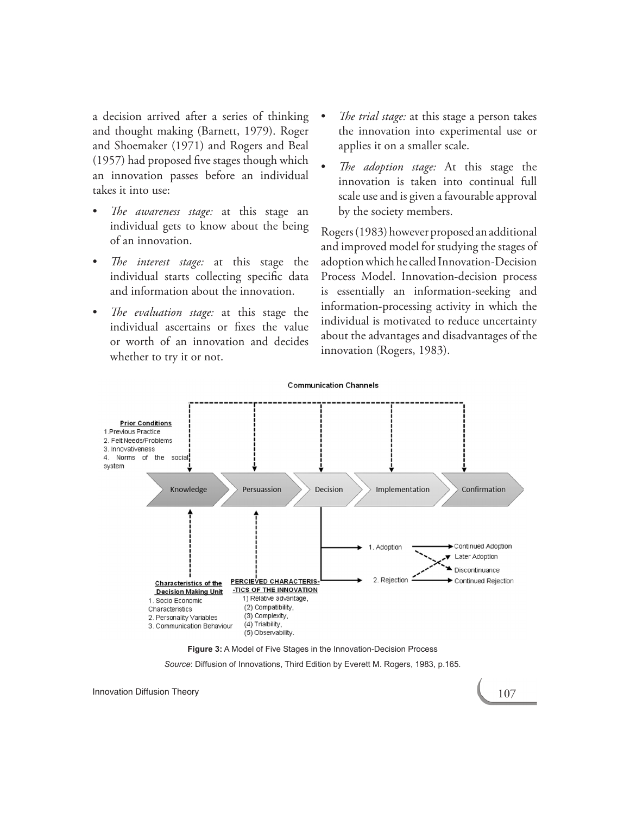a decision arrived after a series of thinking and thought making (Barnett, 1979). Roger and Shoemaker (1971) and Rogers and Beal (1957) had proposed five stages though which an innovation passes before an individual takes it into use:

- The *awareness stage*: at this stage an individual gets to know about the being of an innovation.
- The *interest stage*: at this stage the individual starts collecting specific data and information about the innovation.
- The evaluation stage: at this stage the individual ascertains or fixes the value or worth of an innovation and decides whether to try it or not.
- *The trial stage:* at this stage a person takes the innovation into experimental use or applies it on a smaller scale.
- The *adoption stage*: At this stage the innovation is taken into continual full scale use and is given a favourable approval by the society members.

Rogers (1983) however proposed an additional and improved model for studying the stages of adoption which he called Innovation-Decision Process Model. Innovation-decision process is essentially an information-seeking and information-processing activity in which the individual is motivated to reduce uncertainty about the advantages and disadvantages of the innovation (Rogers, 1983).



**Figure 3:** A Model of Five Stages in the Innovation-Decision Process

*Source*: Diffusion of Innovations, Third Edition by Everett M. Rogers, 1983, p.165.

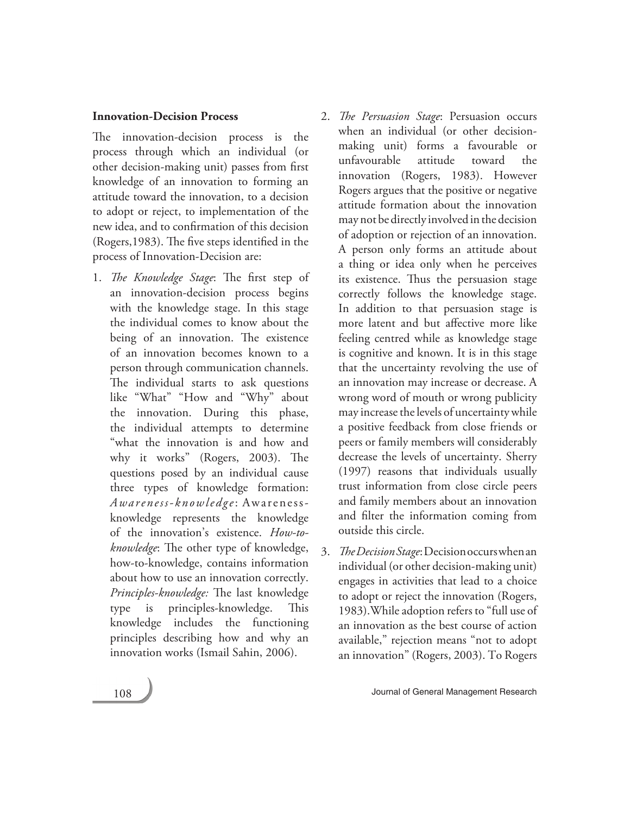### **Innovation-Decision Process**

The innovation-decision process is the process through which an individual (or other decision-making unit) passes from first knowledge of an innovation to forming an attitude toward the innovation, to a decision to adopt or reject, to implementation of the new idea, and to confirmation of this decision (Rogers,1983). The five steps identified in the process of Innovation-Decision are:

- 1. *The Knowledge Stage*: The first step of an innovation-decision process begins with the knowledge stage. In this stage the individual comes to know about the being of an innovation. The existence of an innovation becomes known to a person through communication channels. The individual starts to ask questions like "What" "How and "Why" about the innovation. During this phase, the individual attempts to determine "what the innovation is and how and why it works" (Rogers, 2003). The questions posed by an individual cause three types of knowledge formation: *Awareness-knowledge*: Awarenessknowledge represents the knowledge of the innovation's existence. *How-toknowledge*: The other type of knowledge, how-to-knowledge, contains information about how to use an innovation correctly. *Principles-knowledge:* The last knowledge type is principles-knowledge. This knowledge includes the functioning principles describing how and why an innovation works (Ismail Sahin, 2006).
- 2. *The Persuasion Stage*: Persuasion occurs when an individual (or other decisionmaking unit) forms a favourable or unfavourable attitude toward the innovation (Rogers, 1983). However Rogers argues that the positive or negative attitude formation about the innovation may not be directly involved in the decision of adoption or rejection of an innovation. A person only forms an attitude about a thing or idea only when he perceives its existence. Thus the persuasion stage correctly follows the knowledge stage. In addition to that persuasion stage is more latent and but affective more like feeling centred while as knowledge stage is cognitive and known. It is in this stage that the uncertainty revolving the use of an innovation may increase or decrease. A wrong word of mouth or wrong publicity may increase the levels of uncertainty while a positive feedback from close friends or peers or family members will considerably decrease the levels of uncertainty. Sherry (1997) reasons that individuals usually trust information from close circle peers and family members about an innovation and filter the information coming from outside this circle.
- 3. *The Decision Stage*: Decision occurs when an individual (or other decision-making unit) engages in activities that lead to a choice to adopt or reject the innovation (Rogers, 1983).While adoption refers to "full use of an innovation as the best course of action available," rejection means "not to adopt an innovation" (Rogers, 2003). To Rogers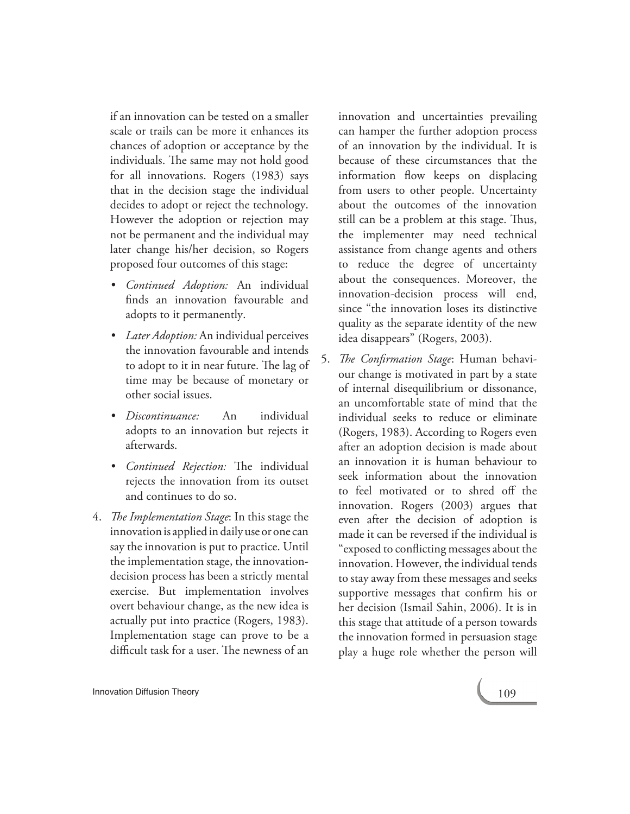if an innovation can be tested on a smaller scale or trails can be more it enhances its chances of adoption or acceptance by the individuals. The same may not hold good for all innovations. Rogers (1983) says that in the decision stage the individual decides to adopt or reject the technology. However the adoption or rejection may not be permanent and the individual may later change his/her decision, so Rogers proposed four outcomes of this stage:

- • *Continued Adoption:* An individual finds an innovation favourable and adopts to it permanently.
- • *Later Adoption:* An individual perceives the innovation favourable and intends to adopt to it in near future. The lag of time may be because of monetary or other social issues.
- • *Discontinuance:* An individual adopts to an innovation but rejects it afterwards.
- • *Continued Rejection:* The individual rejects the innovation from its outset and continues to do so.
- 4. *The Implementation Stage*: In this stage the innovation is applied in daily use or one can say the innovation is put to practice. Until the implementation stage, the innovationdecision process has been a strictly mental exercise. But implementation involves overt behaviour change, as the new idea is actually put into practice (Rogers, 1983). Implementation stage can prove to be a difficult task for a user. The newness of an

innovation and uncertainties prevailing can hamper the further adoption process of an innovation by the individual. It is because of these circumstances that the information flow keeps on displacing from users to other people. Uncertainty about the outcomes of the innovation still can be a problem at this stage. Thus, the implementer may need technical assistance from change agents and others to reduce the degree of uncertainty about the consequences. Moreover, the innovation-decision process will end, since "the innovation loses its distinctive quality as the separate identity of the new idea disappears" (Rogers, 2003).

5. *The Confirmation Stage*: Human behaviour change is motivated in part by a state of internal disequilibrium or dissonance, an uncomfortable state of mind that the individual seeks to reduce or eliminate (Rogers, 1983). According to Rogers even after an adoption decision is made about an innovation it is human behaviour to seek information about the innovation to feel motivated or to shred off the innovation. Rogers (2003) argues that even after the decision of adoption is made it can be reversed if the individual is "exposed to conflicting messages about the innovation. However, the individual tends to stay away from these messages and seeks supportive messages that confirm his or her decision (Ismail Sahin, 2006). It is in this stage that attitude of a person towards the innovation formed in persuasion stage play a huge role whether the person will

**Innovation Diffusion Theory 109 Innovation Diffusion Theory**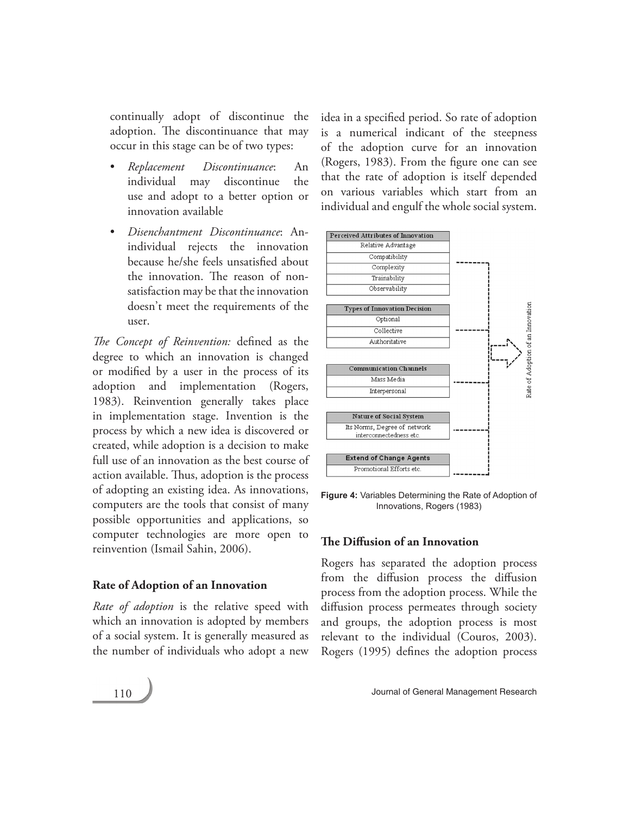continually adopt of discontinue the adoption. The discontinuance that may occur in this stage can be of two types:

- • *Replacement Discontinuance*: An individual may discontinue the use and adopt to a better option or innovation available
- • *Disenchantment Discontinuance*: Anindividual rejects the innovation because he/she feels unsatisfied about the innovation. The reason of nonsatisfaction may be that the innovation doesn't meet the requirements of the user.

*The Concept of Reinvention:* defined as the degree to which an innovation is changed or modified by a user in the process of its adoption and implementation (Rogers, 1983). Reinvention generally takes place in implementation stage. Invention is the process by which a new idea is discovered or created, while adoption is a decision to make full use of an innovation as the best course of action available. Thus, adoption is the process of adopting an existing idea. As innovations, computers are the tools that consist of many possible opportunities and applications, so computer technologies are more open to reinvention (Ismail Sahin, 2006).

# **Rate of Adoption of an Innovation**

*Rate of adoption* is the relative speed with which an innovation is adopted by members of a social system. It is generally measured as the number of individuals who adopt a new idea in a specified period. So rate of adoption is a numerical indicant of the steepness of the adoption curve for an innovation (Rogers, 1983). From the figure one can see that the rate of adoption is itself depended on various variables which start from an individual and engulf the whole social system.



**Figure 4:** Variables Determining the Rate of Adoption of Innovations, Rogers (1983)

# **The Diffusion of an Innovation**

Rogers has separated the adoption process from the diffusion process the diffusion process from the adoption process. While the diffusion process permeates through society and groups, the adoption process is most relevant to the individual (Couros, 2003). Rogers (1995) defines the adoption process

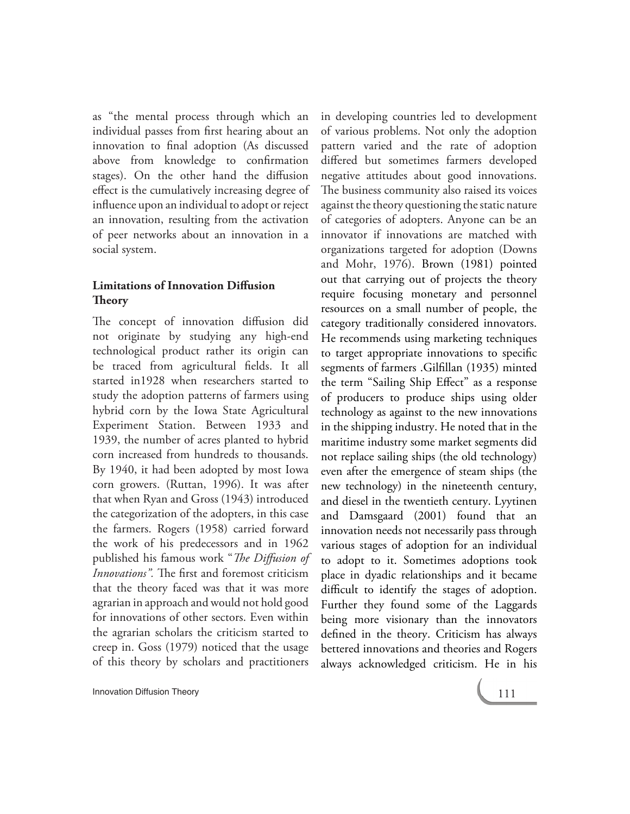as "the mental process through which an individual passes from first hearing about an innovation to final adoption (As discussed above from knowledge to confirmation stages). On the other hand the diffusion effect is the cumulatively increasing degree of influence upon an individual to adopt or reject an innovation, resulting from the activation of peer networks about an innovation in a social system.

# **Limitations of Innovation Diffusion Theory**

The concept of innovation diffusion did not originate by studying any high-end technological product rather its origin can be traced from agricultural fields. It all started in1928 when researchers started to study the adoption patterns of farmers using hybrid corn by the Iowa State Agricultural Experiment Station. Between 1933 and 1939, the number of acres planted to hybrid corn increased from hundreds to thousands. By 1940, it had been adopted by most Iowa corn growers. (Ruttan, 1996). It was after that when Ryan and Gross (1943) introduced the categorization of the adopters, in this case the farmers. Rogers (1958) carried forward the work of his predecessors and in 1962 published his famous work "*The Diffusion of Innovations".* The first and foremost criticism that the theory faced was that it was more agrarian in approach and would not hold good for innovations of other sectors. Even within the agrarian scholars the criticism started to creep in. Goss (1979) noticed that the usage of this theory by scholars and practitioners

in developing countries led to development of various problems. Not only the adoption pattern varied and the rate of adoption differed but sometimes farmers developed negative attitudes about good innovations. The business community also raised its voices against the theory questioning the static nature of categories of adopters. Anyone can be an innovator if innovations are matched with organizations targeted for adoption (Downs and Mohr, 1976). Brown (1981) pointed out that carrying out of projects the theory require focusing monetary and personnel resources on a small number of people, the category traditionally considered innovators. He recommends using marketing techniques to target appropriate innovations to specific segments of farmers .Gilfillan (1935) minted the term "Sailing Ship Effect" as a response of producers to produce ships using older technology as against to the new innovations in the shipping industry. He noted that in the maritime industry some market segments did not replace sailing ships (the old technology) even after the emergence of steam ships (the new technology) in the nineteenth century, and diesel in the twentieth century. Lyytinen and Damsgaard (2001) found that an innovation needs not necessarily pass through various stages of adoption for an individual to adopt to it. Sometimes adoptions took place in dyadic relationships and it became difficult to identify the stages of adoption. Further they found some of the Laggards being more visionary than the innovators defined in the theory. Criticism has always bettered innovations and theories and Rogers always acknowledged criticism. He in his

**Innovation Diffusion Theory Contract Contract Contract Contract Contract Contract Contract Contract Contract Contract Contract Contract Contract Contract Contract Contract Contract Contract Contract Contract Contract Co**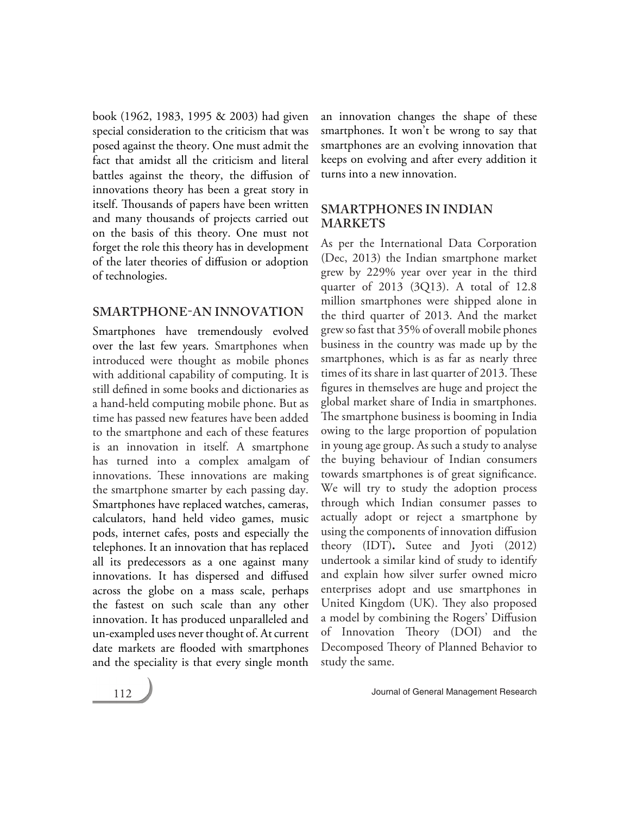book (1962, 1983, 1995 & 2003) had given special consideration to the criticism that was posed against the theory. One must admit the fact that amidst all the criticism and literal battles against the theory, the diffusion of innovations theory has been a great story in itself. Thousands of papers have been written and many thousands of projects carried out on the basis of this theory. One must not forget the role this theory has in development of the later theories of diffusion or adoption of technologies.

# **SMARTPHONE-AN INNOVATION**

Smartphones have tremendously evolved over the last few years. Smartphones when introduced were thought as mobile phones with additional capability of computing. It is still defined in some books and dictionaries as a hand-held computing mobile phone. But as time has passed new features have been added to the smartphone and each of these features is an innovation in itself. A smartphone has turned into a complex amalgam of innovations. These innovations are making the smartphone smarter by each passing day. Smartphones have replaced watches, cameras, calculators, hand held video games, music pods, internet cafes, posts and especially the telephones. It an innovation that has replaced all its predecessors as a one against many innovations. It has dispersed and diffused across the globe on a mass scale, perhaps the fastest on such scale than any other innovation. It has produced unparalleled and un-exampled uses never thought of. At current date markets are flooded with smartphones and the speciality is that every single month an innovation changes the shape of these smartphones. It won't be wrong to say that smartphones are an evolving innovation that keeps on evolving and after every addition it turns into a new innovation.

# **SMARTPHONES IN INDIAN MARKETS**

As per the International Data Corporation (Dec, 2013) the Indian smartphone market grew by 229% year over year in the third quarter of 2013 (3Q13). A total of 12.8 million smartphones were shipped alone in the third quarter of 2013. And the market grew so fast that 35% of overall mobile phones business in the country was made up by the smartphones, which is as far as nearly three times of its share in last quarter of 2013. These figures in themselves are huge and project the global market share of India in smartphones. The smartphone business is booming in India owing to the large proportion of population in young age group. As such a study to analyse the buying behaviour of Indian consumers towards smartphones is of great significance. We will try to study the adoption process through which Indian consumer passes to actually adopt or reject a smartphone by using the components of innovation diffusion theory (IDT)**.** Sutee and Jyoti (2012) undertook a similar kind of study to identify and explain how silver surfer owned micro enterprises adopt and use smartphones in United Kingdom (UK). They also proposed a model by combining the Rogers' Diffusion of Innovation Theory (DOI) and the Decomposed Theory of Planned Behavior to study the same.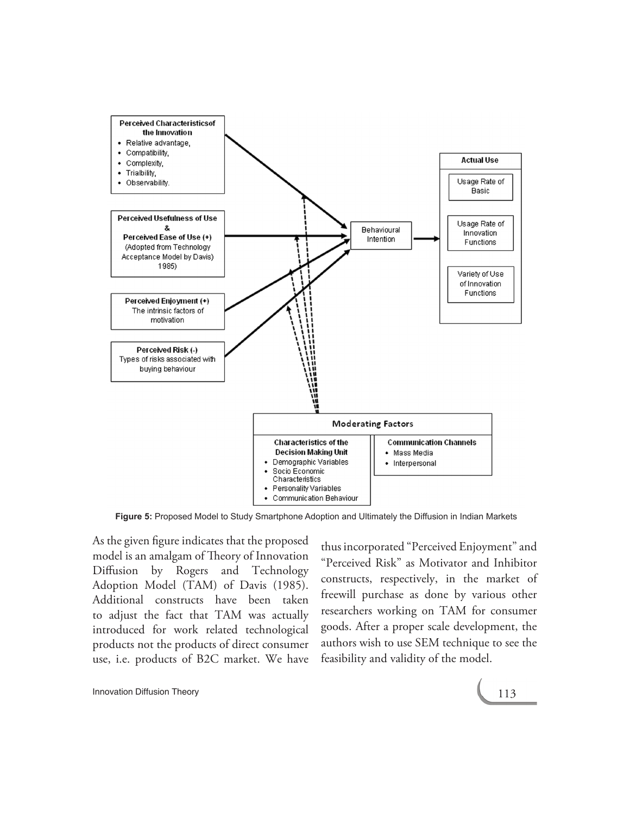

**Figure 5:** Proposed Model to Study Smartphone Adoption and Ultimately the Diffusion in Indian Markets

As the given figure indicates that the proposed model is an amalgam of Theory of Innovation Diffusion by Rogers and Technology Adoption Model (TAM) of Davis (1985). Additional constructs have been taken to adjust the fact that TAM was actually introduced for work related technological products not the products of direct consumer use, i.e. products of B2C market. We have

thus incorporated "Perceived Enjoyment" and "Perceived Risk" as Motivator and Inhibitor constructs, respectively, in the market of freewill purchase as done by various other researchers working on TAM for consumer goods. After a proper scale development, the authors wish to use SEM technique to see the feasibility and validity of the model.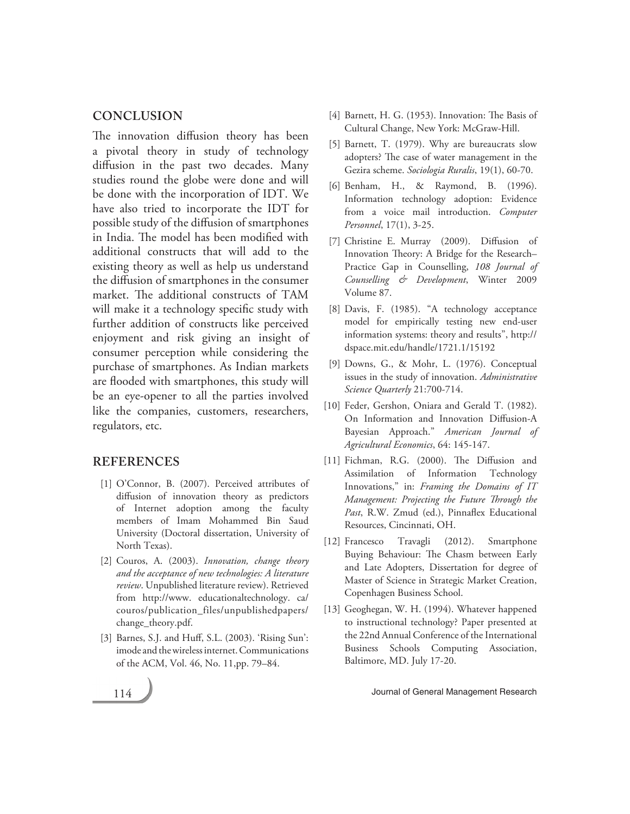# **CONCLUSION**

The innovation diffusion theory has been a pivotal theory in study of technology diffusion in the past two decades. Many studies round the globe were done and will be done with the incorporation of IDT. We have also tried to incorporate the IDT for possible study of the diffusion of smartphones in India. The model has been modified with additional constructs that will add to the existing theory as well as help us understand the diffusion of smartphones in the consumer market. The additional constructs of TAM will make it a technology specific study with further addition of constructs like perceived enjoyment and risk giving an insight of consumer perception while considering the purchase of smartphones. As Indian markets are flooded with smartphones, this study will be an eye-opener to all the parties involved like the companies, customers, researchers, regulators, etc.

# **REFERENCES**

- [1] O'Connor, B. (2007). Perceived attributes of diffusion of innovation theory as predictors of Internet adoption among the faculty members of Imam Mohammed Bin Saud University (Doctoral dissertation, University of North Texas).
- [2] Couros, A. (2003). *Innovation, change theory and the acceptance of new technologies: A literature review*. Unpublished literature review). Retrieved from http://www. educationaltechnology. ca/ couros/publication\_files/unpublishedpapers/ change\_theory.pdf.
- [3] Barnes, S.J. and Huff, S.L. (2003). 'Rising Sun': imode and the wireless internet. Communications of the ACM, Vol. 46, No. 11,pp. 79–84.
- [4] Barnett, H. G. (1953). Innovation: The Basis of Cultural Change, New York: McGraw-Hill.
- [5] Barnett, T. (1979). Why are bureaucrats slow adopters? The case of water management in the Gezira scheme. *Sociologia Ruralis*, 19(1), 60-70.
- [6] Benham, H., & Raymond, B. (1996). Information technology adoption: Evidence from a voice mail introduction. *Computer Personnel*, 17(1), 3-25.
- [7] Christine E. Murray (2009). Diffusion of Innovation Theory: A Bridge for the Research– Practice Gap in Counselling, *108 Journal of Counselling & Development*, Winter 2009 Volume 87.
- [8] Davis, F. (1985). "A technology acceptance model for empirically testing new end-user information systems: theory and results", http:// dspace.mit.edu/handle/1721.1/15192
- [9] Downs, G., & Mohr, L. (1976). Conceptual issues in the study of innovation. *Administrative Science Quarterly* 21:700-714.
- [10] Feder, Gershon, Oniara and Gerald T. (1982). On Information and Innovation Diffusion-A Bayesian Approach." *American Journal of Agricultural Economics*, 64: 145-147.
- [11] Fichman, R.G. (2000). The Diffusion and Assimilation of Information Technology Innovations," in: *Framing the Domains of IT Management: Projecting the Future Through the Past*, R.W. Zmud (ed.), Pinnaflex Educational Resources, Cincinnati, OH.
- [12] Francesco Travagli (2012). Smartphone Buying Behaviour: The Chasm between Early and Late Adopters, Dissertation for degree of Master of Science in Strategic Market Creation, Copenhagen Business School.
- [13] Geoghegan, W. H. (1994). Whatever happened to instructional technology? Paper presented at the 22nd Annual Conference of the International Business Schools Computing Association, Baltimore, MD. July 17-20.